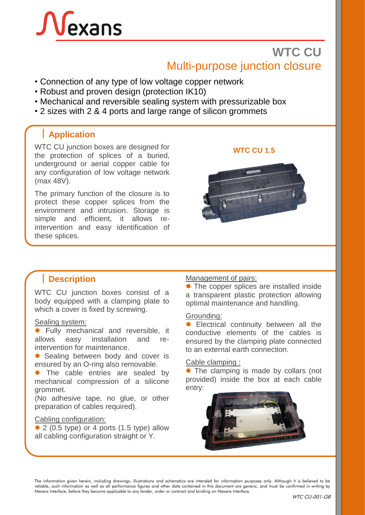# exans

# **WTC CU** Multi-purpose junction closure

- Connection of any type of low voltage copper network
- Robust and proven design (protection IK10)
- Mechanical and reversible sealing system with pressurizable box
- 2 sizes with 2 & 4 ports and large range of silicon grommets

# **Application**

WTC CU junction boxes are designed for **WTC CU 1.5**<br>the protection of splices of a buried, underground or aerial copper cable for any configuration of low voltage network (max 48V).

The primary function of the closure is to protect these copper splices from the environment and intrusion. Storage is simple and efficient, it allows reintervention and easy identification of these splices.



WTC CU junction boxes consist of a body equipped with a clamping plate to which a cover is fixed by screwing.

#### Sealing system:

⚫ Fully mechanical and reversible, it allows easy installation and reintervention for maintenance.

● Sealing between body and cover is ensured by an O-ring also removable.

The cable entries are sealed by mechanical compression of a silicone grommet.

(No adhesive tape, no glue, or other preparation of cables required).

#### Cabling configuration:

 $\bullet$  2 (0.5 type) or 4 ports (1.5 type) allow all cabling configuration straight or Y.

#### **Description** Management of pairs:

● The copper splices are installed inside a transparent plastic protection allowing optimal maintenance and handling.

#### Grounding:

⚫ Electrical continuity between all the conductive elements of the cables is ensured by the clamping plate connected to an external earth connection.

#### Cable clamping :

⚫ The clamping is made by collars (not provided) inside the box at each cable entry:



The information given herein, including drawings, illustrations and schematics are intended for information purposes only. Although it is believed to be reliable, such information as well as all performance figures and other data contained in this document are generic, and must be confirmed in writing by Nexans Interface, before they become applicable to any tender, order or contract and binding on Nexans Interface.